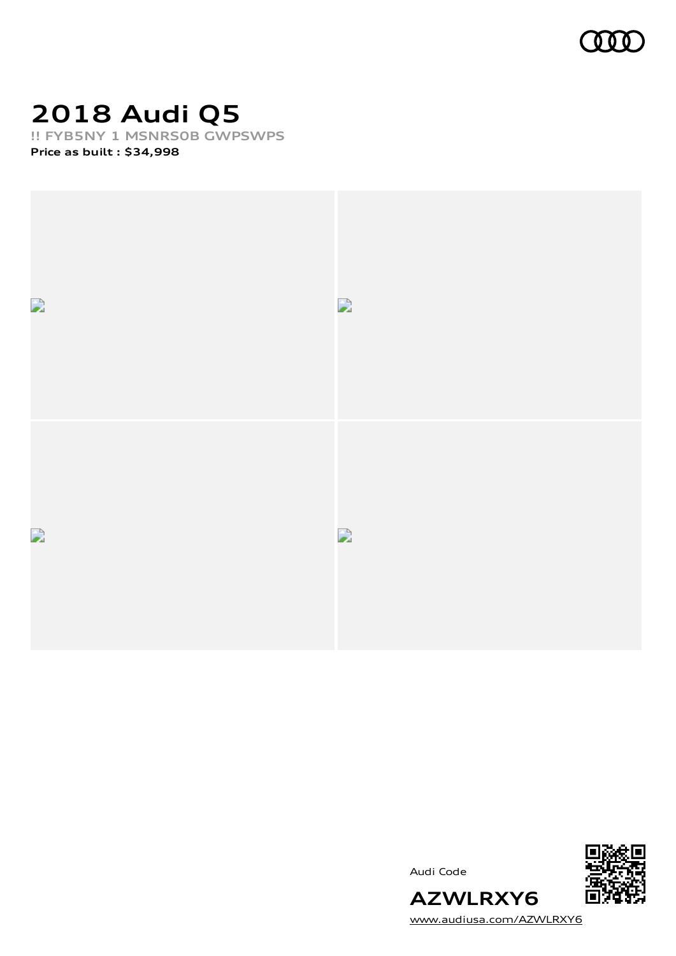

## **2018 Audi Q5**

**!! FYB5NY 1 MSNRS0B GWPSWPS**

**Price as built [:](#page-7-0) \$34,998**



Audi Code



[www.audiusa.com/AZWLRXY6](https://www.audiusa.com/AZWLRXY6)

**AZWLRXY6**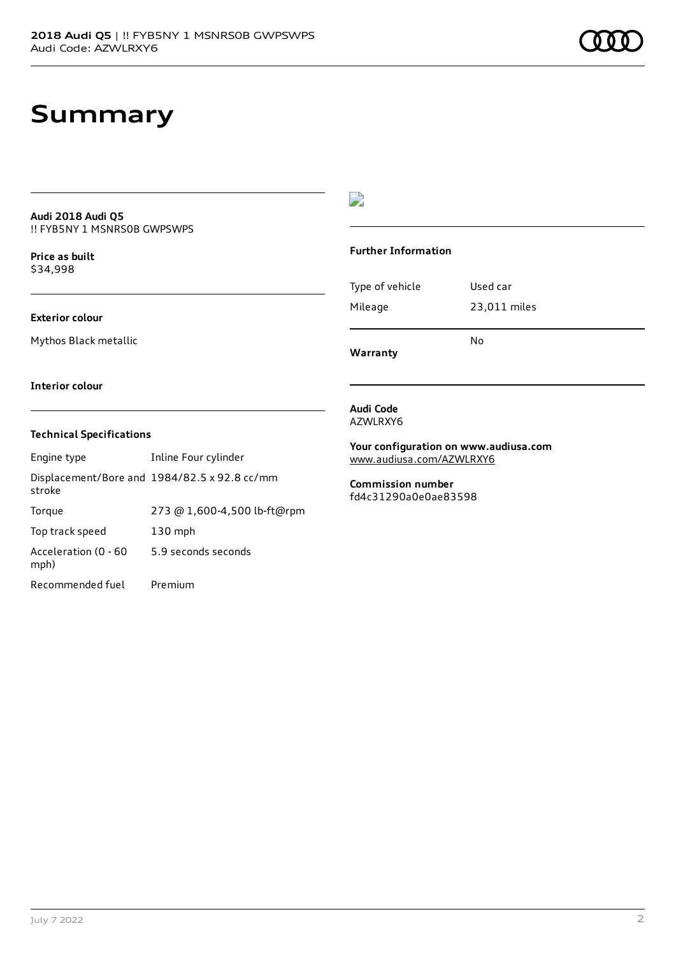## **Summary**

#### **Audi 2018 Audi Q5** !! FYB5NY 1 MSNRS0B GWPSWPS

**Price as buil[t](#page-7-0)** \$34,998

### **Exterior colour**

Mythos Black metallic

## $\overline{\phantom{a}}$

### **Further Information**

|                 | N٥           |
|-----------------|--------------|
| Mileage         | 23,011 miles |
| Type of vehicle | Used car     |

**Warranty**

#### **Interior colour**

### **Technical Specifications**

| Engine type                  | Inline Four cylinder                         |
|------------------------------|----------------------------------------------|
| stroke                       | Displacement/Bore and 1984/82.5 x 92.8 cc/mm |
| Torque                       | 273 @ 1,600-4,500 lb-ft@rpm                  |
| Top track speed              | $130$ mph                                    |
| Acceleration (0 - 60<br>mph) | 5.9 seconds seconds                          |
| Recommended fuel             | Premium                                      |

#### **Audi Code** AZWLRXY6

**Your configuration on www.audiusa.com** [www.audiusa.com/AZWLRXY6](https://www.audiusa.com/AZWLRXY6)

**Commission number** fd4c31290a0e0ae83598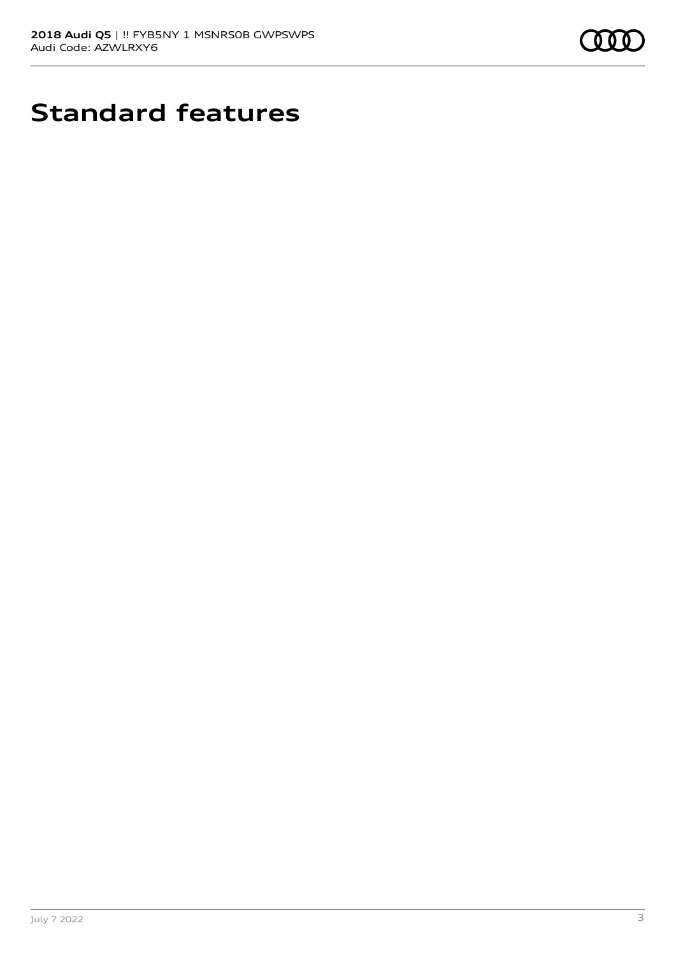

# **Standard features**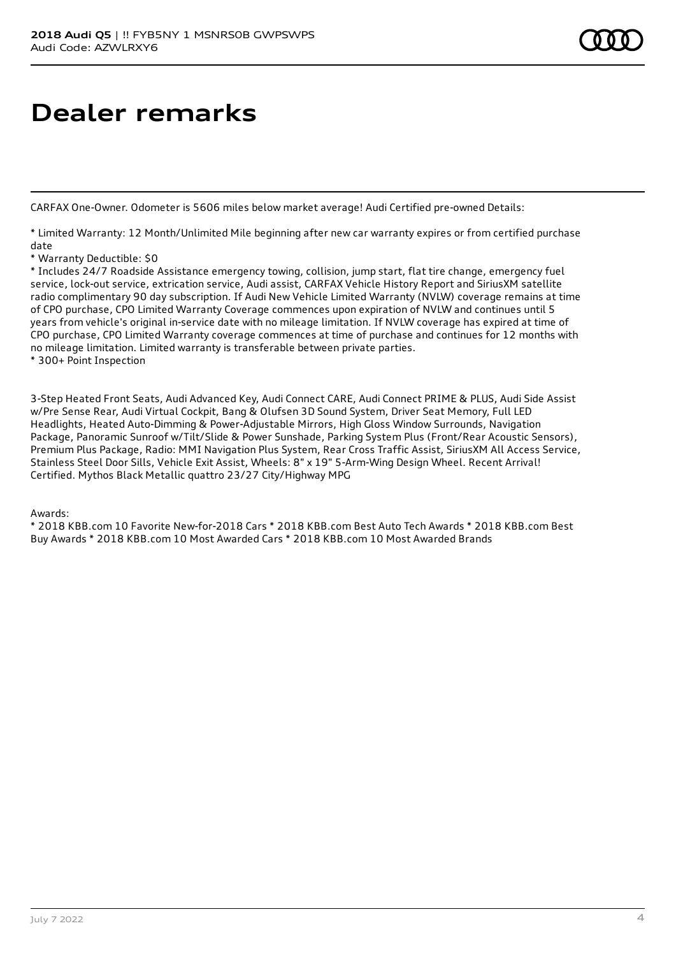## **Dealer remarks**

CARFAX One-Owner. Odometer is 5606 miles below market average! Audi Certified pre-owned Details:

\* Limited Warranty: 12 Month/Unlimited Mile beginning after new car warranty expires or from certified purchase date

\* Warranty Deductible: \$0

\* Includes 24/7 Roadside Assistance emergency towing, collision, jump start, flat tire change, emergency fuel service, lock-out service, extrication service, Audi assist, CARFAX Vehicle History Report and SiriusXM satellite radio complimentary 90 day subscription. If Audi New Vehicle Limited Warranty (NVLW) coverage remains at time of CPO purchase, CPO Limited Warranty Coverage commences upon expiration of NVLW and continues until 5 years from vehicle's original in-service date with no mileage limitation. If NVLW coverage has expired at time of CPO purchase, CPO Limited Warranty coverage commences at time of purchase and continues for 12 months with no mileage limitation. Limited warranty is transferable between private parties.

\* 300+ Point Inspection

3-Step Heated Front Seats, Audi Advanced Key, Audi Connect CARE, Audi Connect PRIME & PLUS, Audi Side Assist w/Pre Sense Rear, Audi Virtual Cockpit, Bang & Olufsen 3D Sound System, Driver Seat Memory, Full LED Headlights, Heated Auto-Dimming & Power-Adjustable Mirrors, High Gloss Window Surrounds, Navigation Package, Panoramic Sunroof w/Tilt/Slide & Power Sunshade, Parking System Plus (Front/Rear Acoustic Sensors), Premium Plus Package, Radio: MMI Navigation Plus System, Rear Cross Traffic Assist, SiriusXM All Access Service, Stainless Steel Door Sills, Vehicle Exit Assist, Wheels: 8" x 19" 5-Arm-Wing Design Wheel. Recent Arrival! Certified. Mythos Black Metallic quattro 23/27 City/Highway MPG

Awards:

\* 2018 KBB.com 10 Favorite New-for-2018 Cars \* 2018 KBB.com Best Auto Tech Awards \* 2018 KBB.com Best Buy Awards \* 2018 KBB.com 10 Most Awarded Cars \* 2018 KBB.com 10 Most Awarded Brands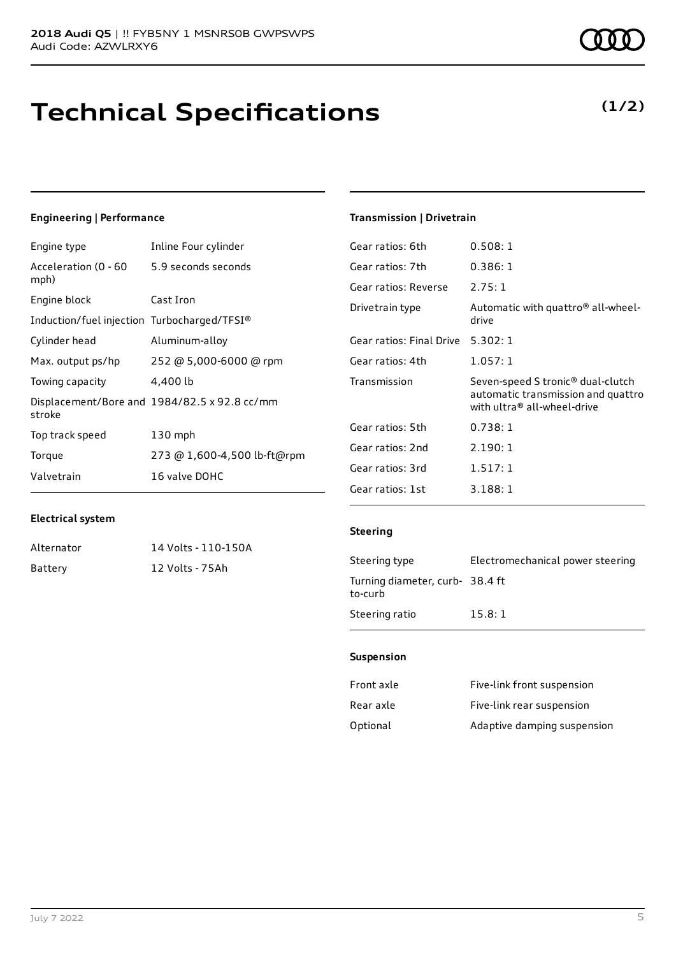## **Technical Specifications**

### **Engineering | Performance**

| Engine type                                        | Inline Four cylinder                         |
|----------------------------------------------------|----------------------------------------------|
| Acceleration (0 - 60 - 5.9 seconds seconds<br>mph) |                                              |
| Engine block                                       | Cast Iron                                    |
| Induction/fuel injection Turbocharged/TFSI®        |                                              |
| Cylinder head                                      | Aluminum-alloy                               |
| Max. output ps/hp                                  | 252 @ 5,000-6000 @ rpm                       |
| Towing capacity                                    | 4,400 lb                                     |
| stroke                                             | Displacement/Bore and 1984/82.5 x 92.8 cc/mm |
| Top track speed                                    | $130$ mph                                    |
| Torque                                             | 273 @ 1,600-4,500 lb-ft@rpm                  |
| Valvetrain                                         | 16 valve DOHC                                |

### **Transmission | Drivetrain**

| Gear ratios: 6th         | 0.508:1                                                                                                            |
|--------------------------|--------------------------------------------------------------------------------------------------------------------|
| Gear ratios: 7th         | 0.386:1                                                                                                            |
| Gear ratios: Reverse     | 2.75:1                                                                                                             |
| Drivetrain type          | Automatic with quattro® all-wheel-<br>drive                                                                        |
| Gear ratios: Final Drive | 5.302:1                                                                                                            |
| Gear ratios: 4th         | 1.057:1                                                                                                            |
| Transmission             | Seven-speed S tronic <sup>®</sup> dual-clutch<br>automatic transmission and quattro<br>with ultra® all-wheel-drive |
| Gear ratios: 5th         |                                                                                                                    |
|                          | 0.738:1                                                                                                            |
| Gear ratios: 2nd         | 2.190:1                                                                                                            |
| Gear ratios: 3rd         | 1.517:1                                                                                                            |

### **Electrical system**

Alternator 14 Volts - 110-150A Battery 12 Volts - 75Ah

#### **Steering**

| Steering type                             | Electromechanical power steering |
|-------------------------------------------|----------------------------------|
| Turning diameter, curb-38.4 ft<br>to-curb |                                  |
| Steering ratio                            | 15.8:1                           |

#### **Suspension**

| Front axle | Five-link front suspension  |
|------------|-----------------------------|
| Rear axle  | Five-link rear suspension   |
| Optional   | Adaptive damping suspension |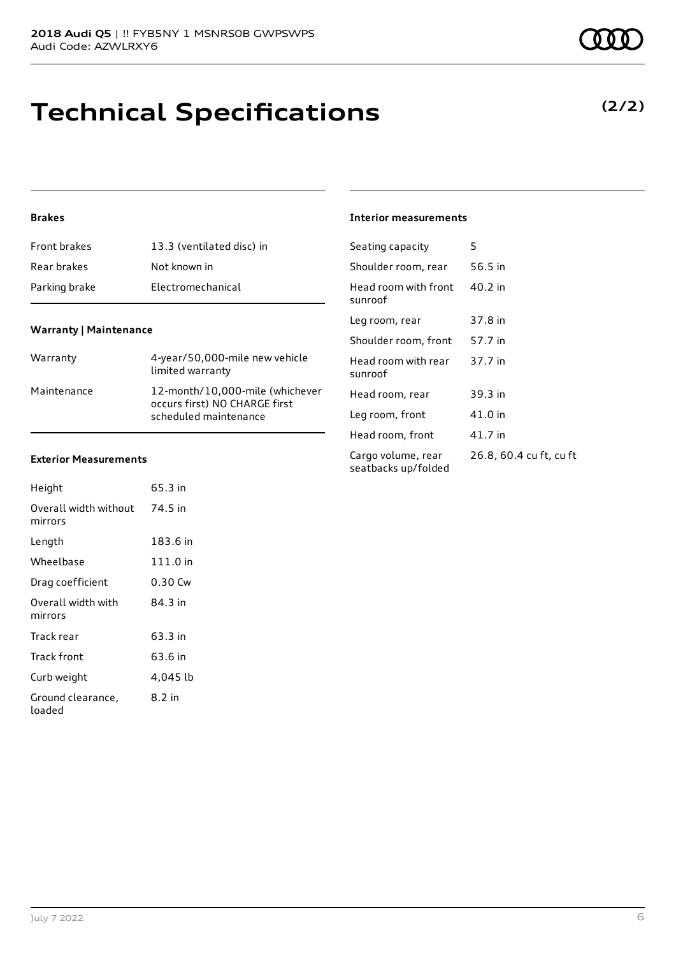## **Technical Specifications**

### **Brakes**

| Front brakes  | 13.3 (ventilated disc) in |
|---------------|---------------------------|
| Rear brakes   | Not known in              |
| Parking brake | Electromechanical         |

### **Warranty | Maintenance**

| Warranty    | 4-year/50,000-mile new vehicle<br>limited warranty                                        |
|-------------|-------------------------------------------------------------------------------------------|
| Maintenance | 12-month/10,000-mile (whichever<br>occurs first) NO CHARGE first<br>scheduled maintenance |

#### **Exterior Measurements**

| Height                           | 65.3 in  |
|----------------------------------|----------|
| Overall width without<br>mirrors | 74.5 in  |
| Length                           | 183.6 in |
| Wheelbase                        | 111.0 in |
| Drag coefficient                 | 0.30 Cw  |
| Overall width with<br>mirrors    | 84 3 in  |
| Track rear                       | 63.3 in  |
| Track front                      | 63.6 in  |
| Curb weight                      | 4,045 lb |
| Ground clearance,<br>loaded      | 8.2 in   |

## **Interior measurements**

| Seating capacity                          | 5                       |
|-------------------------------------------|-------------------------|
| Shoulder room, rear                       | 56.5 in                 |
| Head room with front<br>sunroof           | 40.2 in                 |
| Leg room, rear                            | 37.8 in                 |
| Shoulder room, front                      | 57.7 in                 |
| Head room with rear<br>sunroof            | 37.7 in                 |
| Head room, rear                           | 39.3 in                 |
| Leg room, front                           | 41.0 in                 |
| Head room, front                          | 41.7 in                 |
| Cargo volume, rear<br>seatbacks up/folded | 26.8, 60.4 cu ft, cu ft |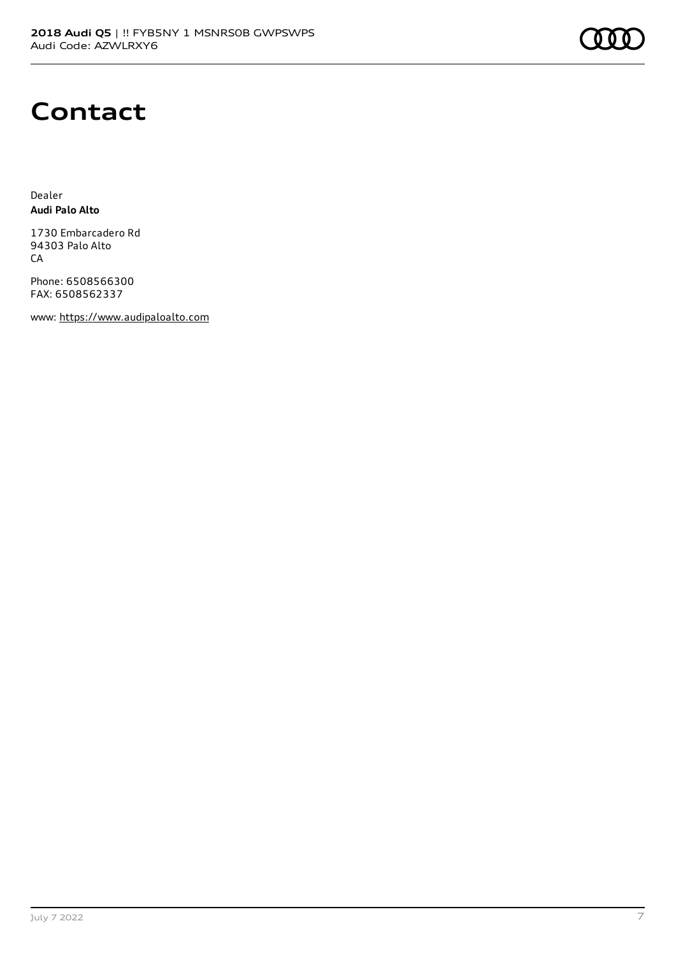

## **Contact**

Dealer **Audi Palo Alto**

1730 Embarcadero Rd 94303 Palo Alto CA

Phone: 6508566300 FAX: 6508562337

www: [https://www.audipaloalto.com](https://www.audipaloalto.com/)